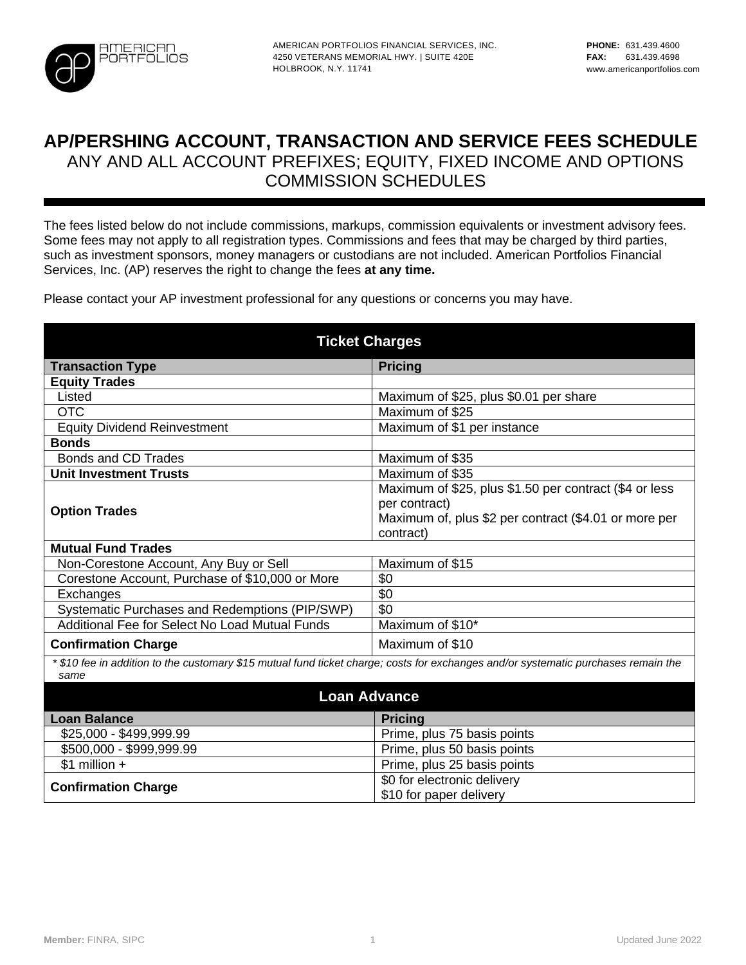

## **AP/PERSHING ACCOUNT, TRANSACTION AND SERVICE FEES SCHEDULE**  ANY AND ALL ACCOUNT PREFIXES; EQUITY, FIXED INCOME AND OPTIONS COMMISSION SCHEDULES

The fees listed below do not include commissions, markups, commission equivalents or investment advisory fees. Some fees may not apply to all registration types. Commissions and fees that may be charged by third parties, such as investment sponsors, money managers or custodians are not included. American Portfolios Financial Services, Inc. (AP) reserves the right to change the fees **at any time.**

Please contact your AP investment professional for any questions or concerns you may have.

| <b>Ticket Charges</b>                                                                                                                      |                                                        |  |  |
|--------------------------------------------------------------------------------------------------------------------------------------------|--------------------------------------------------------|--|--|
| <b>Transaction Type</b>                                                                                                                    | <b>Pricing</b>                                         |  |  |
| <b>Equity Trades</b>                                                                                                                       |                                                        |  |  |
| Listed                                                                                                                                     | Maximum of \$25, plus \$0.01 per share                 |  |  |
| <b>OTC</b>                                                                                                                                 | Maximum of \$25                                        |  |  |
| <b>Equity Dividend Reinvestment</b>                                                                                                        | Maximum of \$1 per instance                            |  |  |
| <b>Bonds</b>                                                                                                                               |                                                        |  |  |
| <b>Bonds and CD Trades</b>                                                                                                                 | Maximum of \$35                                        |  |  |
| <b>Unit Investment Trusts</b>                                                                                                              | Maximum of \$35                                        |  |  |
|                                                                                                                                            | Maximum of \$25, plus \$1.50 per contract (\$4 or less |  |  |
| <b>Option Trades</b>                                                                                                                       | per contract)                                          |  |  |
|                                                                                                                                            | Maximum of, plus \$2 per contract (\$4.01 or more per  |  |  |
|                                                                                                                                            | contract)                                              |  |  |
| <b>Mutual Fund Trades</b>                                                                                                                  |                                                        |  |  |
| Non-Corestone Account, Any Buy or Sell                                                                                                     | Maximum of \$15                                        |  |  |
| Corestone Account, Purchase of \$10,000 or More                                                                                            | \$0                                                    |  |  |
| Exchanges                                                                                                                                  | \$0                                                    |  |  |
| Systematic Purchases and Redemptions (PIP/SWP)                                                                                             | \$0                                                    |  |  |
| Additional Fee for Select No Load Mutual Funds                                                                                             | Maximum of \$10*                                       |  |  |
| <b>Confirmation Charge</b>                                                                                                                 | Maximum of \$10                                        |  |  |
| * \$10 fee in addition to the customary \$15 mutual fund ticket charge; costs for exchanges and/or systematic purchases remain the<br>same |                                                        |  |  |
| <b>Loan Advance</b>                                                                                                                        |                                                        |  |  |
| <b>Loan Balance</b>                                                                                                                        | <b>Pricing</b>                                         |  |  |
| \$25,000 - \$499,999.99                                                                                                                    | Prime, plus 75 basis points                            |  |  |
| \$500,000 - \$999,999.99                                                                                                                   | Prime, plus 50 basis points                            |  |  |
| $$1$ million +                                                                                                                             | Prime, plus 25 basis points                            |  |  |
| <b>Confirmation Charge</b>                                                                                                                 | \$0 for electronic delivery                            |  |  |
|                                                                                                                                            | \$10 for paper delivery                                |  |  |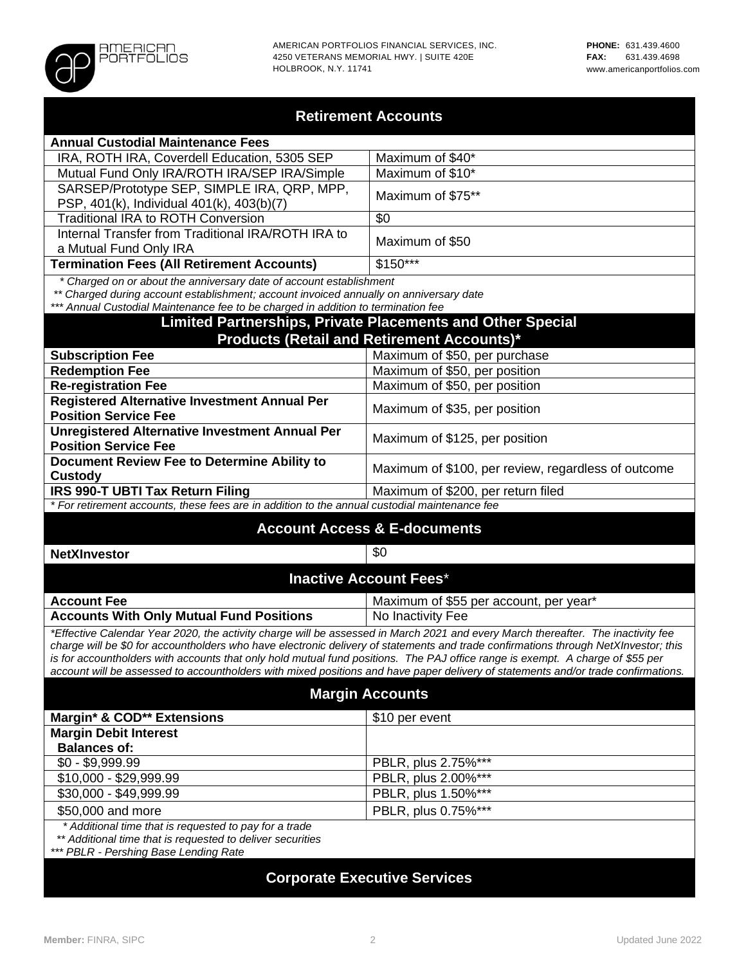

| <b>Retirement Accounts</b>                                                                                                                                                                                                                                                                                                                                                                                                                                                                                                                     |                                                     |  |  |
|------------------------------------------------------------------------------------------------------------------------------------------------------------------------------------------------------------------------------------------------------------------------------------------------------------------------------------------------------------------------------------------------------------------------------------------------------------------------------------------------------------------------------------------------|-----------------------------------------------------|--|--|
| <b>Annual Custodial Maintenance Fees</b>                                                                                                                                                                                                                                                                                                                                                                                                                                                                                                       |                                                     |  |  |
| IRA, ROTH IRA, Coverdell Education, 5305 SEP                                                                                                                                                                                                                                                                                                                                                                                                                                                                                                   | Maximum of \$40*                                    |  |  |
| Mutual Fund Only IRA/ROTH IRA/SEP IRA/Simple                                                                                                                                                                                                                                                                                                                                                                                                                                                                                                   | Maximum of \$10*                                    |  |  |
| SARSEP/Prototype SEP, SIMPLE IRA, QRP, MPP,<br>PSP, 401(k), Individual 401(k), 403(b)(7)                                                                                                                                                                                                                                                                                                                                                                                                                                                       | Maximum of \$75**                                   |  |  |
| <b>Traditional IRA to ROTH Conversion</b>                                                                                                                                                                                                                                                                                                                                                                                                                                                                                                      | \$0                                                 |  |  |
| Internal Transfer from Traditional IRA/ROTH IRA to<br>a Mutual Fund Only IRA                                                                                                                                                                                                                                                                                                                                                                                                                                                                   | Maximum of \$50                                     |  |  |
| <b>Termination Fees (All Retirement Accounts)</b>                                                                                                                                                                                                                                                                                                                                                                                                                                                                                              | $$150***$                                           |  |  |
| * Charged on or about the anniversary date of account establishment<br>** Charged during account establishment; account invoiced annually on anniversary date<br>*** Annual Custodial Maintenance fee to be charged in addition to termination fee                                                                                                                                                                                                                                                                                             |                                                     |  |  |
| <b>Limited Partnerships, Private Placements and Other Special</b>                                                                                                                                                                                                                                                                                                                                                                                                                                                                              |                                                     |  |  |
| <b>Products (Retail and Retirement Accounts)*</b>                                                                                                                                                                                                                                                                                                                                                                                                                                                                                              |                                                     |  |  |
| <b>Subscription Fee</b>                                                                                                                                                                                                                                                                                                                                                                                                                                                                                                                        | Maximum of \$50, per purchase                       |  |  |
| <b>Redemption Fee</b>                                                                                                                                                                                                                                                                                                                                                                                                                                                                                                                          | Maximum of \$50, per position                       |  |  |
| <b>Re-registration Fee</b>                                                                                                                                                                                                                                                                                                                                                                                                                                                                                                                     | Maximum of \$50, per position                       |  |  |
| <b>Registered Alternative Investment Annual Per</b><br>Maximum of \$35, per position<br><b>Position Service Fee</b>                                                                                                                                                                                                                                                                                                                                                                                                                            |                                                     |  |  |
| <b>Unregistered Alternative Investment Annual Per</b><br><b>Position Service Fee</b>                                                                                                                                                                                                                                                                                                                                                                                                                                                           | Maximum of \$125, per position                      |  |  |
| Document Review Fee to Determine Ability to<br><b>Custody</b>                                                                                                                                                                                                                                                                                                                                                                                                                                                                                  | Maximum of \$100, per review, regardless of outcome |  |  |
| IRS 990-T UBTI Tax Return Filing                                                                                                                                                                                                                                                                                                                                                                                                                                                                                                               | Maximum of \$200, per return filed                  |  |  |
| * For retirement accounts, these fees are in addition to the annual custodial maintenance fee                                                                                                                                                                                                                                                                                                                                                                                                                                                  |                                                     |  |  |
| <b>Account Access &amp; E-documents</b>                                                                                                                                                                                                                                                                                                                                                                                                                                                                                                        |                                                     |  |  |
| <b>NetXInvestor</b>                                                                                                                                                                                                                                                                                                                                                                                                                                                                                                                            | \$0                                                 |  |  |
| <b>Inactive Account Fees*</b>                                                                                                                                                                                                                                                                                                                                                                                                                                                                                                                  |                                                     |  |  |
| <b>Account Fee</b>                                                                                                                                                                                                                                                                                                                                                                                                                                                                                                                             | Maximum of \$55 per account, per year*              |  |  |
| <b>Accounts With Only Mutual Fund Positions</b>                                                                                                                                                                                                                                                                                                                                                                                                                                                                                                | No Inactivity Fee                                   |  |  |
| *Effective Calendar Year 2020, the activity charge will be assessed in March 2021 and every March thereafter. The inactivity fee<br>charge will be \$0 for accountholders who have electronic delivery of statements and trade confirmations through NetXInvestor; this<br>is for accountholders with accounts that only hold mutual fund positions. The PAJ office range is exempt. A charge of \$55 per<br>account will be assessed to accountholders with mixed positions and have paper delivery of statements and/or trade confirmations. |                                                     |  |  |
| <b>Margin Accounts</b>                                                                                                                                                                                                                                                                                                                                                                                                                                                                                                                         |                                                     |  |  |
| Margin* & COD** Extensions                                                                                                                                                                                                                                                                                                                                                                                                                                                                                                                     | \$10 per event                                      |  |  |
| <b>Margin Debit Interest</b>                                                                                                                                                                                                                                                                                                                                                                                                                                                                                                                   |                                                     |  |  |
| <b>Balances of:</b>                                                                                                                                                                                                                                                                                                                                                                                                                                                                                                                            |                                                     |  |  |
| $\overline{$0$}$ - \$9,999.99                                                                                                                                                                                                                                                                                                                                                                                                                                                                                                                  | PBLR, plus 2.75%***                                 |  |  |
| \$10,000 - \$29,999.99                                                                                                                                                                                                                                                                                                                                                                                                                                                                                                                         | PBLR, plus 2.00%***                                 |  |  |
| \$30,000 - \$49,999.99                                                                                                                                                                                                                                                                                                                                                                                                                                                                                                                         | PBLR, plus 1.50%***                                 |  |  |
| \$50,000 and more                                                                                                                                                                                                                                                                                                                                                                                                                                                                                                                              | PBLR, plus 0.75%***                                 |  |  |
| * Additional time that is requested to pay for a trade<br>** Additional time that is requested to deliver securities                                                                                                                                                                                                                                                                                                                                                                                                                           |                                                     |  |  |
| *** PBLR - Pershing Base Lending Rate                                                                                                                                                                                                                                                                                                                                                                                                                                                                                                          |                                                     |  |  |

# **Corporate Executive Services**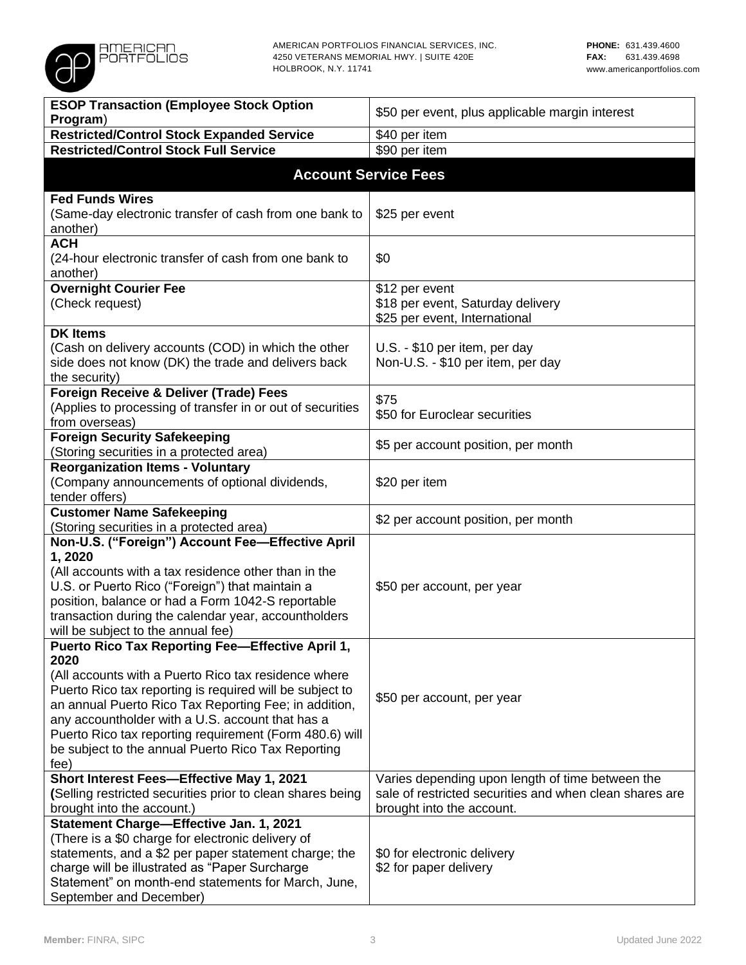

| <b>ESOP Transaction (Employee Stock Option</b>                                                            |                                                         |  |  |
|-----------------------------------------------------------------------------------------------------------|---------------------------------------------------------|--|--|
| Program)                                                                                                  | \$50 per event, plus applicable margin interest         |  |  |
| <b>Restricted/Control Stock Expanded Service</b>                                                          | \$40 per item                                           |  |  |
| <b>Restricted/Control Stock Full Service</b>                                                              | $$90$ per item                                          |  |  |
|                                                                                                           | <b>Account Service Fees</b>                             |  |  |
|                                                                                                           |                                                         |  |  |
| <b>Fed Funds Wires</b>                                                                                    |                                                         |  |  |
| (Same-day electronic transfer of cash from one bank to                                                    | \$25 per event                                          |  |  |
| another)                                                                                                  |                                                         |  |  |
| <b>ACH</b>                                                                                                |                                                         |  |  |
| (24-hour electronic transfer of cash from one bank to                                                     | \$0                                                     |  |  |
| another)                                                                                                  |                                                         |  |  |
| <b>Overnight Courier Fee</b>                                                                              | \$12 per event                                          |  |  |
| (Check request)                                                                                           | \$18 per event, Saturday delivery                       |  |  |
|                                                                                                           | \$25 per event, International                           |  |  |
| <b>DK Items</b>                                                                                           |                                                         |  |  |
| (Cash on delivery accounts (COD) in which the other                                                       | U.S. - \$10 per item, per day                           |  |  |
| side does not know (DK) the trade and delivers back<br>the security)                                      | Non-U.S. - \$10 per item, per day                       |  |  |
| Foreign Receive & Deliver (Trade) Fees                                                                    |                                                         |  |  |
| (Applies to processing of transfer in or out of securities                                                | \$75                                                    |  |  |
| from overseas)                                                                                            | \$50 for Euroclear securities                           |  |  |
| <b>Foreign Security Safekeeping</b>                                                                       |                                                         |  |  |
| (Storing securities in a protected area)                                                                  | \$5 per account position, per month                     |  |  |
| <b>Reorganization Items - Voluntary</b>                                                                   |                                                         |  |  |
| (Company announcements of optional dividends,                                                             | \$20 per item                                           |  |  |
| tender offers)                                                                                            |                                                         |  |  |
| <b>Customer Name Safekeeping</b>                                                                          |                                                         |  |  |
| (Storing securities in a protected area)                                                                  | \$2 per account position, per month                     |  |  |
| Non-U.S. ("Foreign") Account Fee-Effective April                                                          |                                                         |  |  |
| 1,2020                                                                                                    |                                                         |  |  |
| (All accounts with a tax residence other than in the                                                      |                                                         |  |  |
| U.S. or Puerto Rico ("Foreign") that maintain a                                                           | \$50 per account, per year                              |  |  |
| position, balance or had a Form 1042-S reportable                                                         |                                                         |  |  |
| transaction during the calendar year, accountholders                                                      |                                                         |  |  |
| will be subject to the annual fee)                                                                        |                                                         |  |  |
| <b>Puerto Rico Tax Reporting Fee-Effective April 1,</b>                                                   |                                                         |  |  |
| 2020                                                                                                      |                                                         |  |  |
| (All accounts with a Puerto Rico tax residence where                                                      |                                                         |  |  |
| Puerto Rico tax reporting is required will be subject to                                                  | \$50 per account, per year                              |  |  |
| an annual Puerto Rico Tax Reporting Fee; in addition,<br>any accountholder with a U.S. account that has a |                                                         |  |  |
| Puerto Rico tax reporting requirement (Form 480.6) will                                                   |                                                         |  |  |
| be subject to the annual Puerto Rico Tax Reporting                                                        |                                                         |  |  |
| fee)                                                                                                      |                                                         |  |  |
| Short Interest Fees-Effective May 1, 2021                                                                 | Varies depending upon length of time between the        |  |  |
| (Selling restricted securities prior to clean shares being                                                | sale of restricted securities and when clean shares are |  |  |
| brought into the account.)                                                                                | brought into the account.                               |  |  |
| Statement Charge-Effective Jan. 1, 2021                                                                   |                                                         |  |  |
| (There is a \$0 charge for electronic delivery of                                                         |                                                         |  |  |
| statements, and a \$2 per paper statement charge; the                                                     | \$0 for electronic delivery                             |  |  |
| charge will be illustrated as "Paper Surcharge                                                            | \$2 for paper delivery                                  |  |  |
| Statement" on month-end statements for March, June,                                                       |                                                         |  |  |
| September and December)                                                                                   |                                                         |  |  |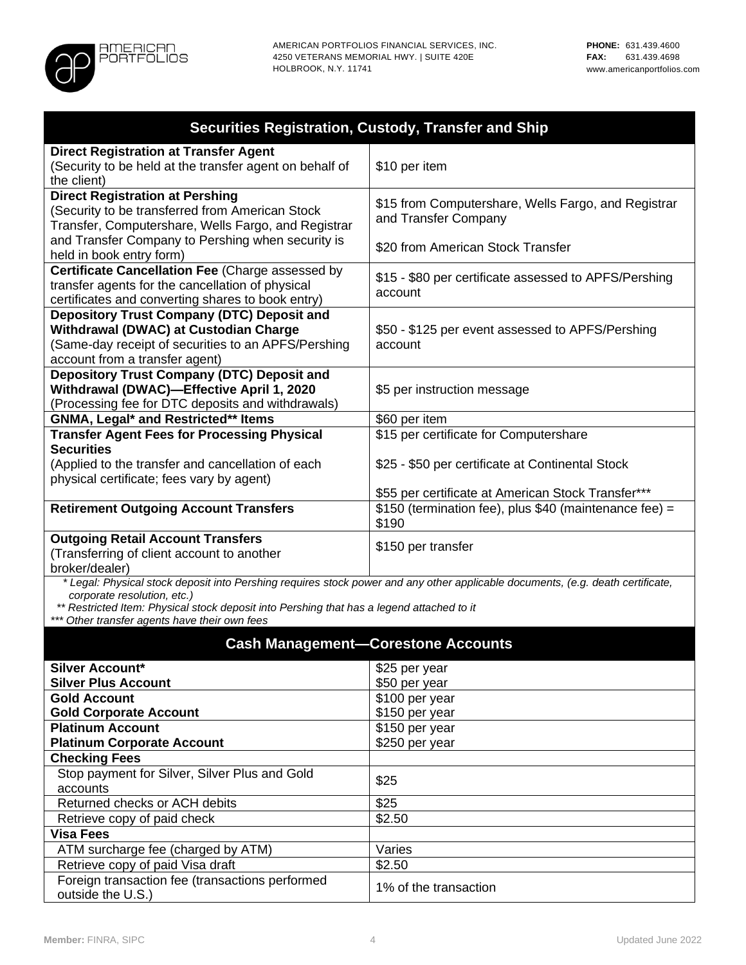

| Securities Registration, Custody, Transfer and Ship                                                                                                                                                                                                                                                          |                                                                             |  |  |
|--------------------------------------------------------------------------------------------------------------------------------------------------------------------------------------------------------------------------------------------------------------------------------------------------------------|-----------------------------------------------------------------------------|--|--|
| <b>Direct Registration at Transfer Agent</b><br>(Security to be held at the transfer agent on behalf of<br>the client)                                                                                                                                                                                       | \$10 per item                                                               |  |  |
| <b>Direct Registration at Pershing</b><br>(Security to be transferred from American Stock<br>Transfer, Computershare, Wells Fargo, and Registrar                                                                                                                                                             | \$15 from Computershare, Wells Fargo, and Registrar<br>and Transfer Company |  |  |
| and Transfer Company to Pershing when security is<br>held in book entry form)                                                                                                                                                                                                                                | \$20 from American Stock Transfer                                           |  |  |
| Certificate Cancellation Fee (Charge assessed by<br>transfer agents for the cancellation of physical<br>certificates and converting shares to book entry)                                                                                                                                                    | \$15 - \$80 per certificate assessed to APFS/Pershing<br>account            |  |  |
| <b>Depository Trust Company (DTC) Deposit and</b><br>Withdrawal (DWAC) at Custodian Charge<br>(Same-day receipt of securities to an APFS/Pershing<br>account from a transfer agent)                                                                                                                          | \$50 - \$125 per event assessed to APFS/Pershing<br>account                 |  |  |
| <b>Depository Trust Company (DTC) Deposit and</b><br>Withdrawal (DWAC)-Effective April 1, 2020<br>(Processing fee for DTC deposits and withdrawals)                                                                                                                                                          | \$5 per instruction message                                                 |  |  |
| <b>GNMA, Legal* and Restricted** Items</b><br>\$60 per item                                                                                                                                                                                                                                                  |                                                                             |  |  |
| <b>Transfer Agent Fees for Processing Physical</b>                                                                                                                                                                                                                                                           | \$15 per certificate for Computershare                                      |  |  |
| <b>Securities</b><br>(Applied to the transfer and cancellation of each<br>physical certificate; fees vary by agent)                                                                                                                                                                                          | \$25 - \$50 per certificate at Continental Stock                            |  |  |
|                                                                                                                                                                                                                                                                                                              | \$55 per certificate at American Stock Transfer***                          |  |  |
| <b>Retirement Outgoing Account Transfers</b>                                                                                                                                                                                                                                                                 | \$150 (termination fee), plus \$40 (maintenance fee) =<br>\$190             |  |  |
| <b>Outgoing Retail Account Transfers</b><br>(Transferring of client account to another<br>broker/dealer)                                                                                                                                                                                                     | \$150 per transfer                                                          |  |  |
| * Legal: Physical stock deposit into Pershing requires stock power and any other applicable documents, (e.g. death certificate,<br>corporate resolution, etc.)<br>** Restricted Item: Physical stock deposit into Pershing that has a legend attached to it<br>*** Other transfer agents have their own fees |                                                                             |  |  |
|                                                                                                                                                                                                                                                                                                              | <b>Cash Management-Corestone Accounts</b>                                   |  |  |
| <b>Silver Account*</b>                                                                                                                                                                                                                                                                                       | \$25 per year                                                               |  |  |
| <b>Silver Plus Account</b>                                                                                                                                                                                                                                                                                   | \$50 per year                                                               |  |  |
| <b>Gold Account</b>                                                                                                                                                                                                                                                                                          | \$100 per year                                                              |  |  |
| <b>Gold Corporate Account</b><br>\$150 per year                                                                                                                                                                                                                                                              |                                                                             |  |  |
| <b>Platinum Account</b>                                                                                                                                                                                                                                                                                      | \$150 per year                                                              |  |  |
| <b>Platinum Corporate Account</b>                                                                                                                                                                                                                                                                            | \$250 per year                                                              |  |  |
| <b>Checking Fees</b>                                                                                                                                                                                                                                                                                         |                                                                             |  |  |
| Stop payment for Silver, Silver Plus and Gold                                                                                                                                                                                                                                                                | \$25                                                                        |  |  |
| accounts                                                                                                                                                                                                                                                                                                     |                                                                             |  |  |
| Returned checks or ACH debits                                                                                                                                                                                                                                                                                | \$25                                                                        |  |  |
| Retrieve copy of paid check<br><b>Visa Fees</b>                                                                                                                                                                                                                                                              | \$2.50                                                                      |  |  |
|                                                                                                                                                                                                                                                                                                              |                                                                             |  |  |

Retrieve copy of paid Visa draft

ATM surcharge fee (charged by ATM) Varies<br>
Retrieve copy of paid Visa draft \$2.50

Foreign transaction fee (transactions performed 1% of the transaction<br>outside the U.S.)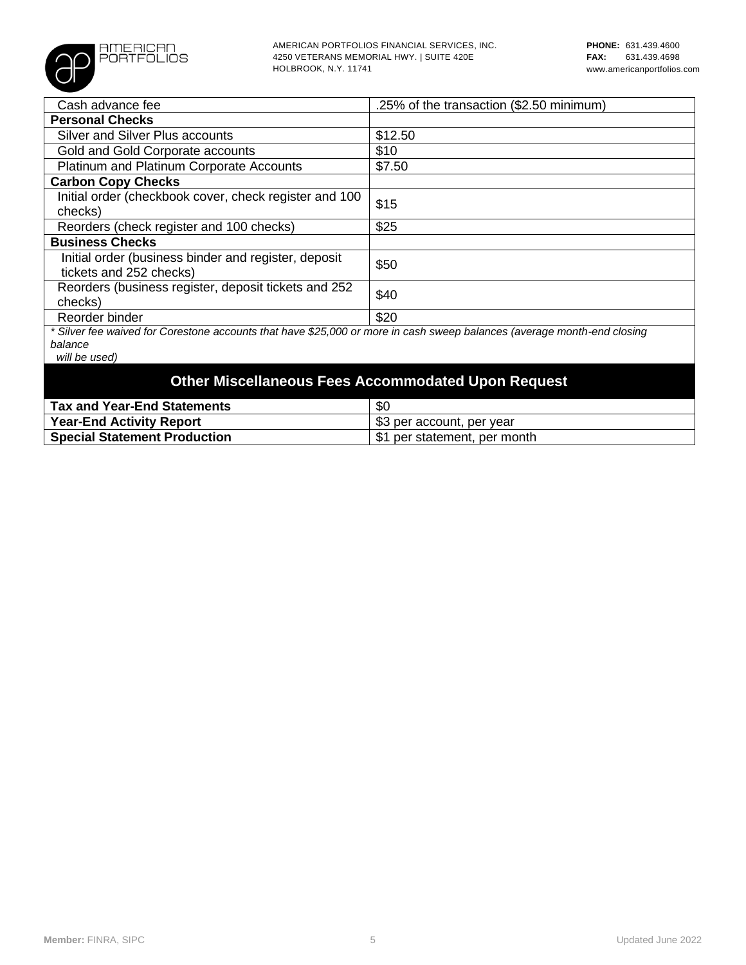

| Cash advance fee                                                                                                        | .25% of the transaction (\$2.50 minimum) |  |  |
|-------------------------------------------------------------------------------------------------------------------------|------------------------------------------|--|--|
| <b>Personal Checks</b>                                                                                                  |                                          |  |  |
| <b>Silver and Silver Plus accounts</b>                                                                                  | \$12.50                                  |  |  |
| Gold and Gold Corporate accounts                                                                                        | \$10                                     |  |  |
| Platinum and Platinum Corporate Accounts                                                                                | \$7.50                                   |  |  |
| <b>Carbon Copy Checks</b>                                                                                               |                                          |  |  |
| Initial order (checkbook cover, check register and 100<br>checks)                                                       | \$15                                     |  |  |
| Reorders (check register and 100 checks)                                                                                | \$25                                     |  |  |
| <b>Business Checks</b>                                                                                                  |                                          |  |  |
| Initial order (business binder and register, deposit<br>tickets and 252 checks)                                         | \$50                                     |  |  |
| Reorders (business register, deposit tickets and 252<br>checks)                                                         | \$40                                     |  |  |
| Reorder binder                                                                                                          | \$20                                     |  |  |
| * Silver fee waived for Corestone accounts that have \$25,000 or more in cash sweep balances (average month-end closing |                                          |  |  |
| balance                                                                                                                 |                                          |  |  |
| will be used)                                                                                                           |                                          |  |  |
| <b>Other Miscellaneous Fees Accommodated Upon Request</b>                                                               |                                          |  |  |

| Tax and Year-End Statements         | \$0                          |
|-------------------------------------|------------------------------|
| <b>Year-End Activity Report</b>     | ∣ \$3 per account, per year  |
| <b>Special Statement Production</b> | \$1 per statement, per month |